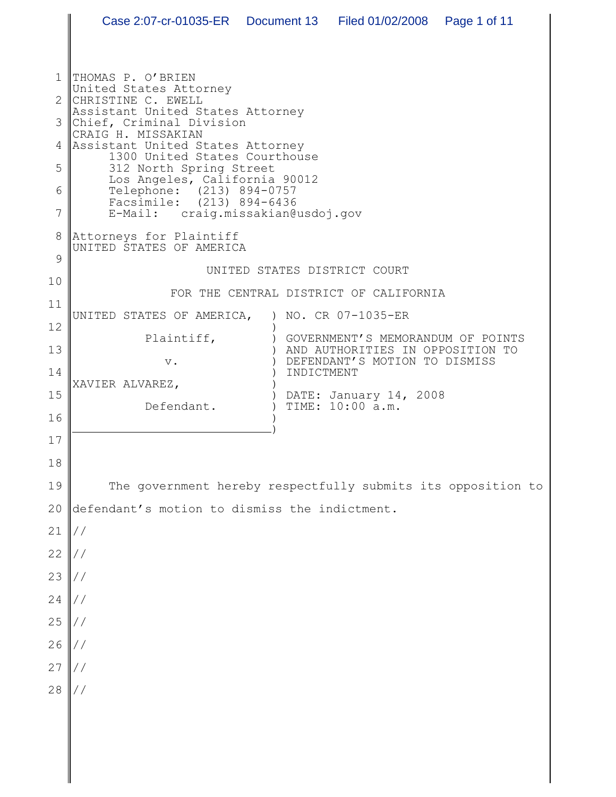1 2 3 4 5 6 7 8 9 10 11 12 13 14 15 16 17 18 19 20 21 22 23 24 25 26 27 28 THOMAS P. O'BRIEN United States Attorney CHRISTINE C. EWELL Assistant United States Attorney Chief, Criminal Division CRAIG H. MISSAKIAN Assistant United States Attorney 1300 United States Courthouse 312 North Spring Street Los Angeles, California 90012 Telephone: (213) 894-0757 Facsimile: (213) 894-6436<br>E-Mail: craig.missakian@ craig.missakian@usdoj.gov Attorneys for Plaintiff UNITED STATES OF AMERICA UNITED STATES DISTRICT COURT FOR THE CENTRAL DISTRICT OF CALIFORNIA UNITED STATES OF AMERICA, Plaintiff, v. XAVIER ALVAREZ, Defendant. ) NO. CR 07-1035-ER ) ) GOVERNMENT'S MEMORANDUM OF POINTS  $)$  $\left( \right)$  $\lambda$ ) ) DATE: January 14, 2008 ) TIME: 10:00 a.m. ) ) AND AUTHORITIES IN OPPOSITION TO DEFENDANT'S MOTION TO DISMISS INDICTMENT The government hereby respectfully submits its opposition to defendant's motion to dismiss the indictment. // // // // // // // // Case 2:07-cr-01035-ER Document 13 Filed 01/02/2008 Page 1 of 11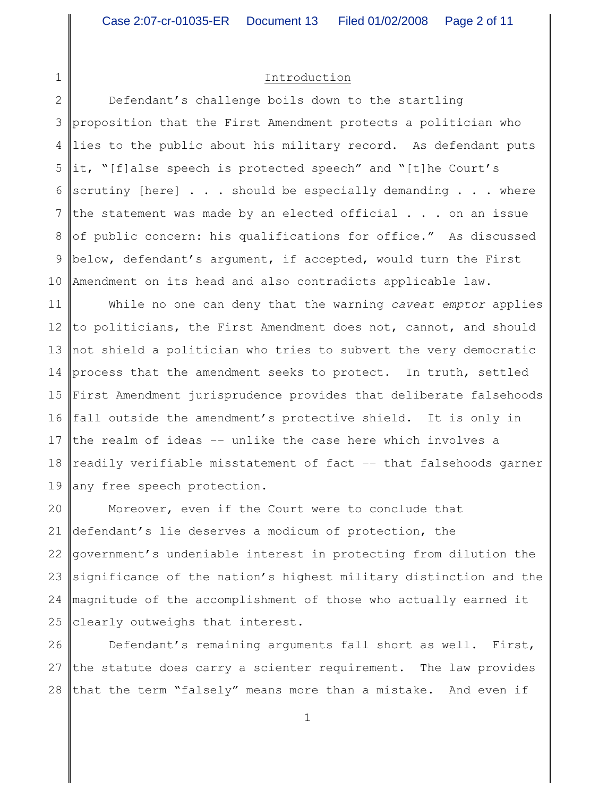## Introduction

1

2 3 4 5 6 7 8 9 10 Defendant's challenge boils down to the startling proposition that the First Amendment protects a politician who lies to the public about his military record. As defendant puts it, "[f]alse speech is protected speech" and "[t]he Court's scrutiny [here] . . . should be especially demanding . . . where the statement was made by an elected official  $\ldots$  on an issue of public concern: his qualifications for office." As discussed below, defendant's argument, if accepted, would turn the First Amendment on its head and also contradicts applicable law.

11 12 13 14 process that the amendment seeks to protect. In truth, settled 15 16 fall outside the amendment's protective shield. It is only in 17 18 19 While no one can deny that the warning *caveat emptor* applies to politicians, the First Amendment does not, cannot, and should not shield a politician who tries to subvert the very democratic First Amendment jurisprudence provides that deliberate falsehoods the realm of ideas –– unlike the case here which involves a readily verifiable misstatement of fact –– that falsehoods garner any free speech protection.

20 21 22 23 24 25 Moreover, even if the Court were to conclude that defendant's lie deserves a modicum of protection, the government's undeniable interest in protecting from dilution the significance of the nation's highest military distinction and the magnitude of the accomplishment of those who actually earned it clearly outweighs that interest.

26 27 28 Defendant's remaining arguments fall short as well. First, the statute does carry a scienter requirement. The law provides that the term "falsely" means more than a mistake. And even if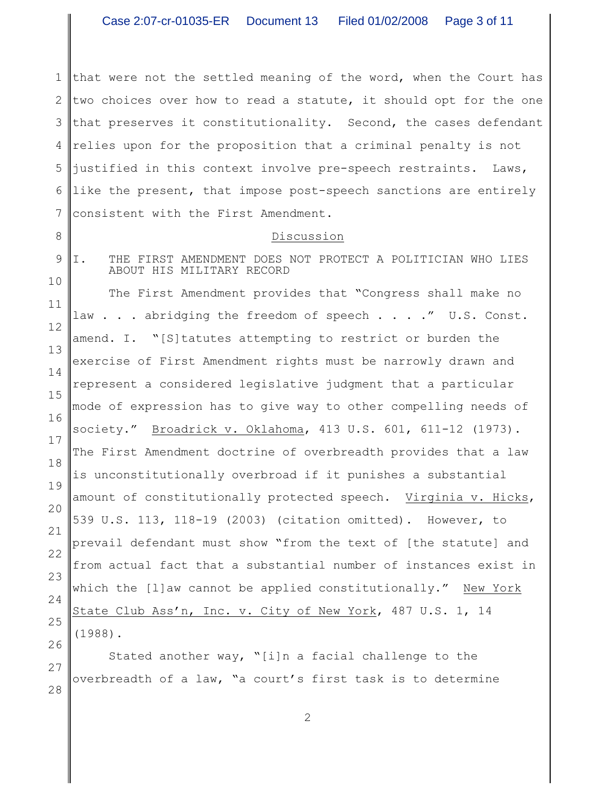1 2 3 4 5 6 7 that were not the settled meaning of the word, when the Court has two choices over how to read a statute, it should opt for the one that preserves it constitutionality. Second, the cases defendant relies upon for the proposition that a criminal penalty is not justified in this context involve pre-speech restraints. Laws, like the present, that impose post-speech sanctions are entirely consistent with the First Amendment.

## Discussion

I. THE FIRST AMENDMENT DOES NOT PROTECT A POLITICIAN WHO LIES

ABOUT HIS MILITARY RECORD

9 10

8

11 12 13 14 15 16 17 18 19 20 21 22 23 24 25 26 The First Amendment provides that "Congress shall make no law . . . abridging the freedom of speech . . . ." U.S. Const. amend. I. "[S]tatutes attempting to restrict or burden the exercise of First Amendment rights must be narrowly drawn and represent a considered legislative judgment that a particular mode of expression has to give way to other compelling needs of society." Broadrick v. Oklahoma, 413 U.S. 601, 611-12 (1973). The First Amendment doctrine of overbreadth provides that a law is unconstitutionally overbroad if it punishes a substantial amount of constitutionally protected speech. Virginia v. Hicks, 539 U.S. 113, 118-19 (2003) (citation omitted). However, to prevail defendant must show "from the text of [the statute] and from actual fact that a substantial number of instances exist in which the [l]aw cannot be applied constitutionally." New York State Club Ass'n, Inc. v. City of New York, 487 U.S. 1, 14 (1988).

27 28 Stated another way, "[i]n a facial challenge to the overbreadth of a law, "a court's first task is to determine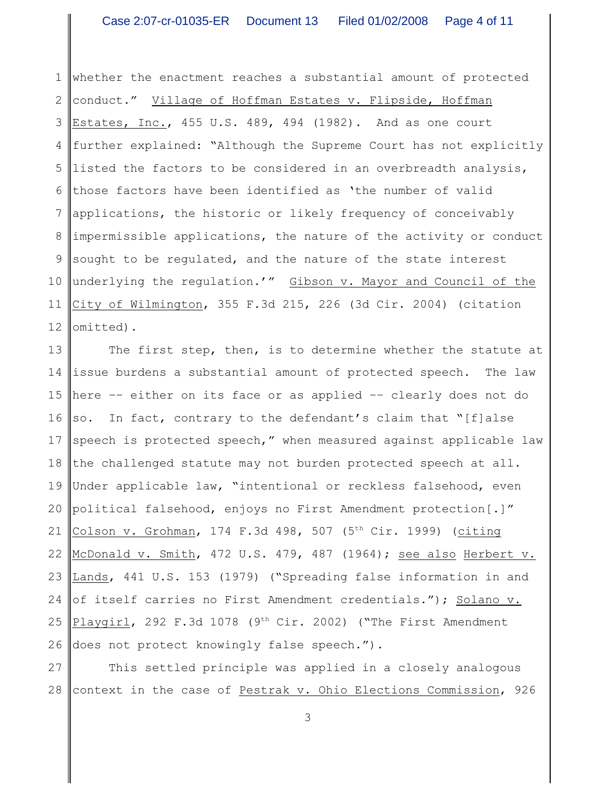1 2 3 4 5 6 7 8 9 10 11 12 whether the enactment reaches a substantial amount of protected conduct." Village of Hoffman Estates v. Flipside, Hoffman Estates, Inc., 455 U.S. 489, 494 (1982). And as one court further explained: "Although the Supreme Court has not explicitly listed the factors to be considered in an overbreadth analysis, those factors have been identified as 'the number of valid applications, the historic or likely frequency of conceivably impermissible applications, the nature of the activity or conduct sought to be regulated, and the nature of the state interest underlying the regulation.'" Gibson v. Mayor and Council of the City of Wilmington, 355 F.3d 215, 226 (3d Cir. 2004) (citation omitted).

13 14 15 16 so. In fact, contrary to the defendant's claim that "[f]alse 17 18 19 20 21 22 23 24 25 26 The first step, then, is to determine whether the statute at issue burdens a substantial amount of protected speech. The law here –– either on its face or as applied –– clearly does not do speech is protected speech," when measured against applicable law the challenged statute may not burden protected speech at all. Under applicable law, "intentional or reckless falsehood, even political falsehood, enjoys no First Amendment protection[.]" Colson v. Grohman, 174 F.3d 498, 507 (5<sup>th</sup> Cir. 1999) (citing McDonald v. Smith, 472 U.S. 479, 487 (1964); see also Herbert v. Lands, 441 U.S. 153 (1979) ("Spreading false information in and of itself carries no First Amendment credentials."); Solano v. Playgirl, 292 F.3d 1078 (9<sup>th</sup> Cir. 2002) ("The First Amendment does not protect knowingly false speech.").

27 28 This settled principle was applied in a closely analogous context in the case of Pestrak v. Ohio Elections Commission, 926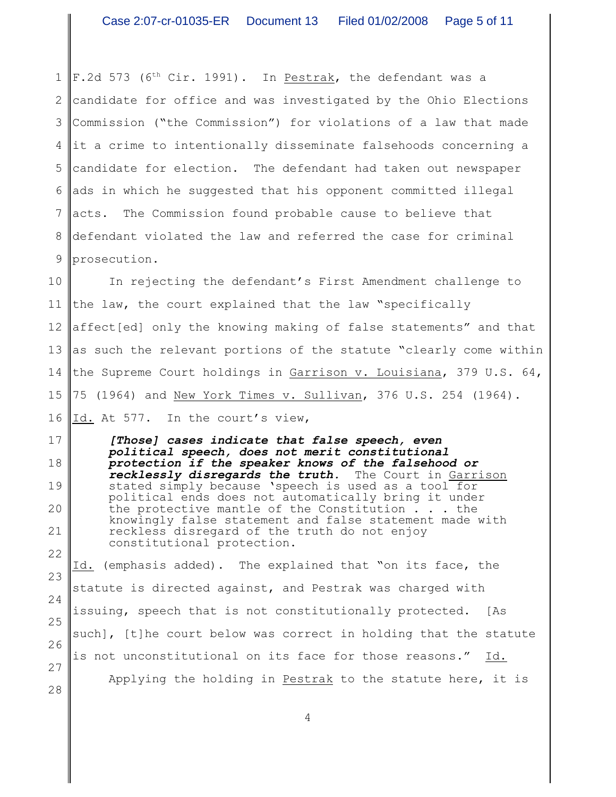1 2 3 4 5 6 7 8 9  $F.2d$  573 (6<sup>th</sup> Cir. 1991). In Pestrak, the defendant was a candidate for office and was investigated by the Ohio Elections Commission ("the Commission") for violations of a law that made it a crime to intentionally disseminate falsehoods concerning a candidate for election. The defendant had taken out newspaper ads in which he suggested that his opponent committed illegal acts. The Commission found probable cause to believe that defendant violated the law and referred the case for criminal prosecution.

10 11 12 13 14 15 16 In rejecting the defendant's First Amendment challenge to the law, the court explained that the law "specifically affect[ed] only the knowing making of false statements" and that as such the relevant portions of the statute "clearly come within the Supreme Court holdings in Garrison v. Louisiana, 379 U.S. 64, 75 (1964) and New York Times v. Sullivan, 376 U.S. 254 (1964). Id. At 577. In the court's view,

17 18 19 20 21 22 *[Those] cases indicate that false speech, even political speech, does not merit constitutional protection if the speaker knows of the falsehood or recklessly disregards the truth.* The Court in Garrison stated simply because 'speech is used as a tool for political ends does not automatically bring it under the protective mantle of the Constitution . . . the knowingly false statement and false statement made with reckless disregard of the truth do not enjoy constitutional protection.

23 24 25 26 27 28 Id. (emphasis added). The explained that "on its face, the statute is directed against, and Pestrak was charged with issuing, speech that is not constitutionally protected. [As such], [t]he court below was correct in holding that the statute is not unconstitutional on its face for those reasons." Id. Applying the holding in Pestrak to the statute here, it is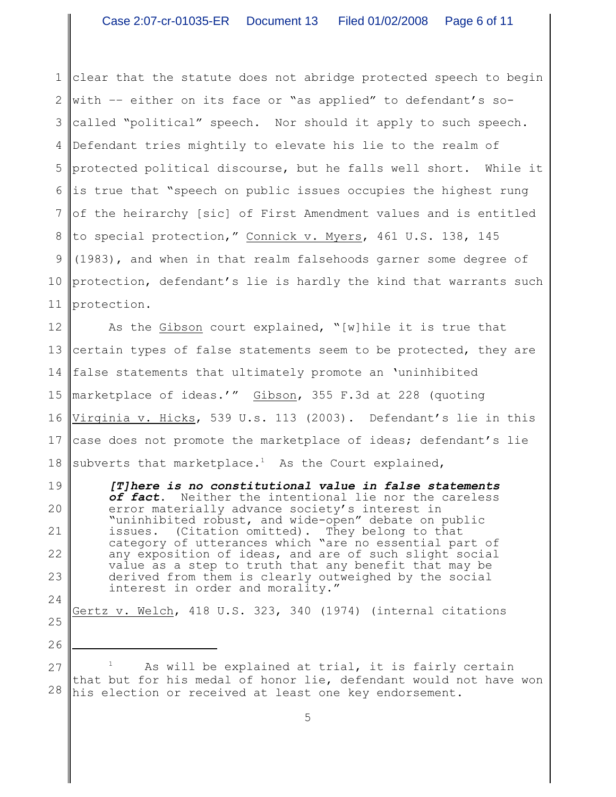1 2 3 4 5 6 7 8 9 10 11 clear that the statute does not abridge protected speech to begin with –– either on its face or "as applied" to defendant's socalled "political" speech. Nor should it apply to such speech. Defendant tries mightily to elevate his lie to the realm of protected political discourse, but he falls well short. While it is true that "speech on public issues occupies the highest rung of the heirarchy [sic] of First Amendment values and is entitled to special protection," Connick v. Myers, 461 U.S. 138, 145 (1983), and when in that realm falsehoods garner some degree of protection, defendant's lie is hardly the kind that warrants such protection.

12 13 14 15 16 17 18 As the Gibson court explained, "[w] hile it is true that certain types of false statements seem to be protected, they are false statements that ultimately promote an 'uninhibited marketplace of ideas.'" Gibson, 355 F.3d at 228 (quoting Virginia v. Hicks, 539 U.s. 113 (2003). Defendant's lie in this case does not promote the marketplace of ideas; defendant's lie subverts that marketplace.<sup>1</sup> As the Court explained,

19 20 21 22 23 24 *[T]here is no constitutional value in false statements of fact*. Neither the intentional lie nor the careless error materially advance society's interest in "uninhibited robust, and wide-open" debate on public issues. (Citation omitted). They belong to that category of utterances which "are no essential part of any exposition of ideas, and are of such slight social value as a step to truth that any benefit that may be derived from them is clearly outweighed by the social interest in order and morality."

25 Gertz v. Welch, 418 U.S. 323, 340 (1974) (internal citations

26

27 28 As will be explained at trial, it is fairly certain that but for his medal of honor lie, defendant would not have won his election or received at least one key endorsement.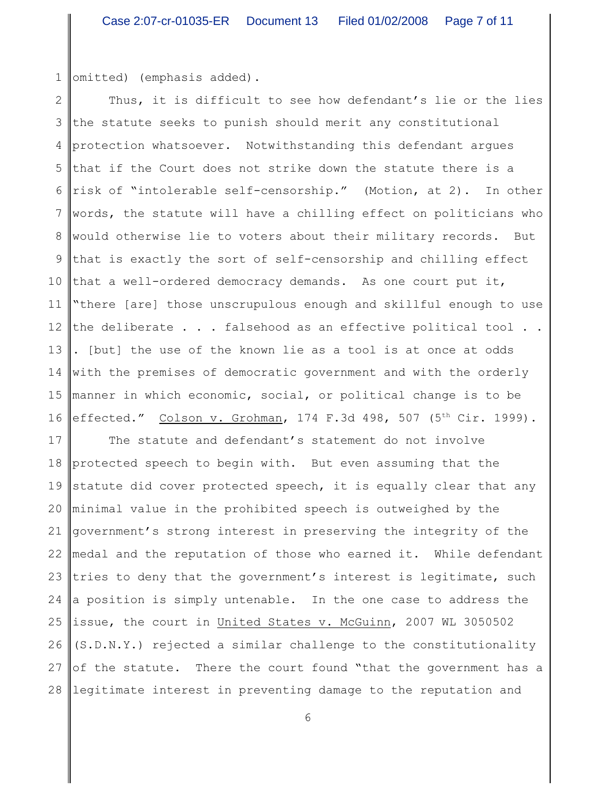1 omitted) (emphasis added).

2 3 4 5 6 7 8 9 10 11 12 13 14 15 16 effected." Colson v. Grohman, 174 F.3d 498, 507 (5<sup>th</sup> Cir. 1999). Thus, it is difficult to see how defendant's lie or the lies the statute seeks to punish should merit any constitutional protection whatsoever. Notwithstanding this defendant argues that if the Court does not strike down the statute there is a risk of "intolerable self-censorship." (Motion, at 2). In other words, the statute will have a chilling effect on politicians who would otherwise lie to voters about their military records. But that is exactly the sort of self-censorship and chilling effect that a well-ordered democracy demands. As one court put it, "there [are] those unscrupulous enough and skillful enough to use the deliberate . . . falsehood as an effective political tool . . . [but] the use of the known lie as a tool is at once at odds with the premises of democratic government and with the orderly manner in which economic, social, or political change is to be

17 18 protected speech to begin with. But even assuming that the 19 20 minimal value in the prohibited speech is outweighed by the 21 22 I 23 24 25 26 27 28 The statute and defendant's statement do not involve statute did cover protected speech, it is equally clear that any government's strong interest in preserving the integrity of the medal and the reputation of those who earned it. While defendant tries to deny that the government's interest is legitimate, such a position is simply untenable. In the one case to address the issue, the court in United States v. McGuinn, 2007 WL 3050502 (S.D.N.Y.) rejected a similar challenge to the constitutionality of the statute. There the court found "that the government has a legitimate interest in preventing damage to the reputation and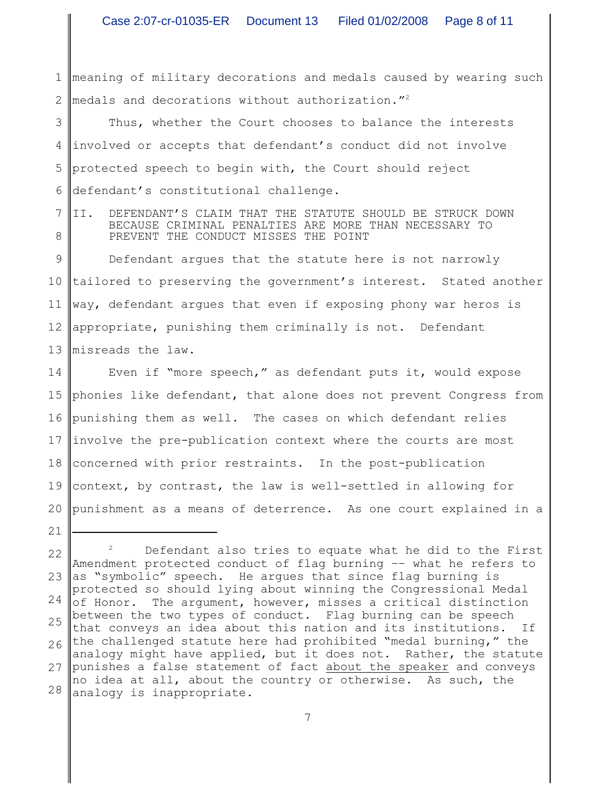1 2 meaning of military decorations and medals caused by wearing such medals and decorations without authorization."<sup>2</sup>

3 4 5 6 Thus, whether the Court chooses to balance the interests involved or accepts that defendant's conduct did not involve protected speech to begin with, the Court should reject defendant's constitutional challenge.

7 8 II. DEFENDANT'S CLAIM THAT THE STATUTE SHOULD BE STRUCK DOWN BECAUSE CRIMINAL PENALTIES ARE MORE THAN NECESSARY TO PREVENT THE CONDUCT MISSES THE POINT

9 10 11 way, defendant argues that even if exposing phony war heros is 12 appropriate, punishing them criminally is not. Defendant 13 | misreads the law. Defendant argues that the statute here is not narrowly tailored to preserving the government's interest. Stated another

14 15 phonies like defendant, that alone does not prevent Congress from 16 punishing them as well. The cases on which defendant relies 17 involve the pre-publication context where the courts are most 18 concerned with prior restraints. In the post-publication 19 20 punishment as a means of deterrence. As one court explained in a Even if "more speech," as defendant puts it, would expose context, by contrast, the law is well-settled in allowing for

<sup>22</sup> 23 24 25 26 27 28  $2^2$  Defendant also tries to equate what he did to the First Amendment protected conduct of flag burning –– what he refers to as "symbolic" speech. He argues that since flag burning is protected so should lying about winning the Congressional Medal of Honor. The argument, however, misses a critical distinction between the two types of conduct. Flag burning can be speech that conveys an idea about this nation and its institutions. If the challenged statute here had prohibited "medal burning," the analogy might have applied, but it does not. Rather, the statute punishes a false statement of fact about the speaker and conveys no idea at all, about the country or otherwise. As such, the analogy is inappropriate.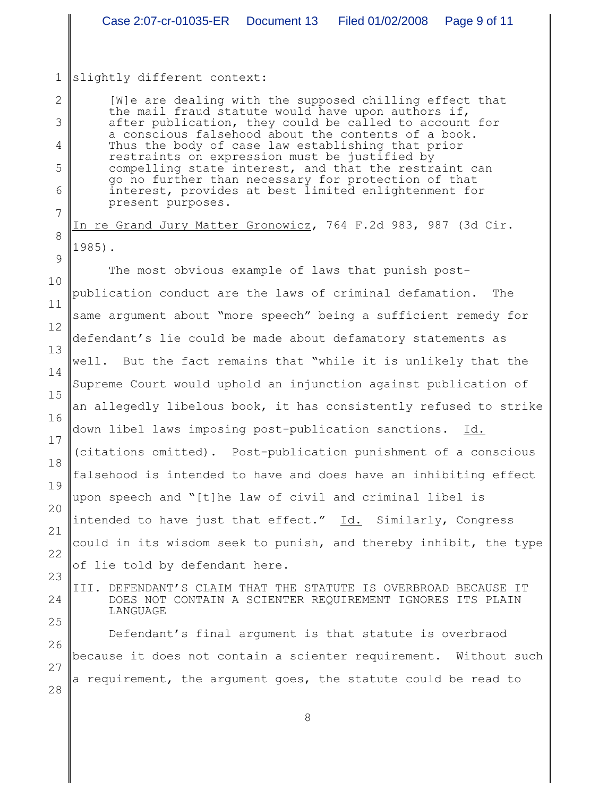## 1 slightly different context:

2

3

4

5

6

7

8

23

24

25

[W]e are dealing with the supposed chilling effect that the mail fraud statute would have upon authors if, after publication, they could be called to account for a conscious falsehood about the contents of a book. Thus the body of case law establishing that prior restraints on expression must be justified by compelling state interest, and that the restraint can go no further than necessary for protection of that interest, provides at best limited enlightenment for present purposes.

In re Grand Jury Matter Gronowicz, 764 F.2d 983, 987 (3d Cir. 1985).

9 10 11 12 13 14 15 16 17 18 19 20 21 22 The most obvious example of laws that punish postpublication conduct are the laws of criminal defamation. The same argument about "more speech" being a sufficient remedy for defendant's lie could be made about defamatory statements as well. But the fact remains that "while it is unlikely that the Supreme Court would uphold an injunction against publication of an allegedly libelous book, it has consistently refused to strike down libel laws imposing post-publication sanctions. Id. (citations omitted). Post-publication punishment of a conscious falsehood is intended to have and does have an inhibiting effect upon speech and "[t]he law of civil and criminal libel is intended to have just that effect." Id. Similarly, Congress could in its wisdom seek to punish, and thereby inhibit, the type of lie told by defendant here.

III. DEFENDANT'S CLAIM THAT THE STATUTE IS OVERBROAD BECAUSE IT DOES NOT CONTAIN A SCIENTER REQUIREMENT IGNORES ITS PLAIN LANGUAGE

26 27 28 Defendant's final argument is that statute is overbraod because it does not contain a scienter requirement. Without such a requirement, the argument goes, the statute could be read to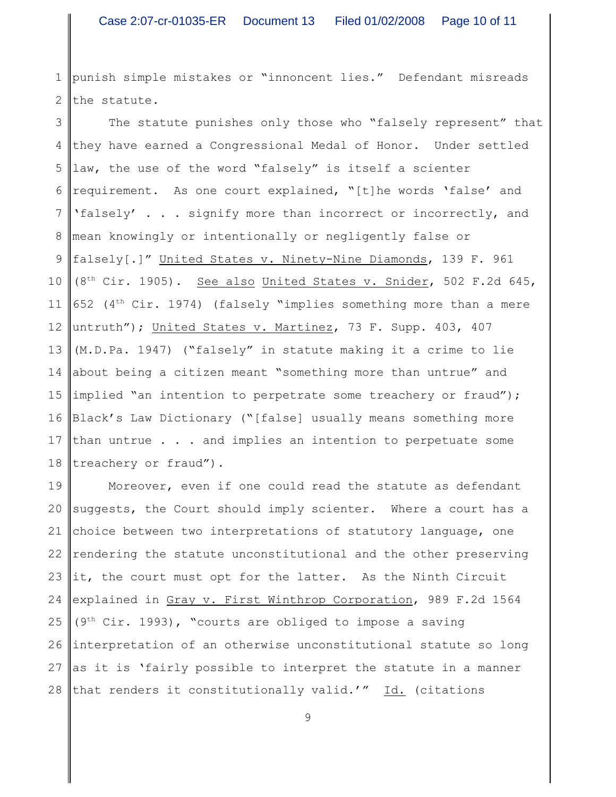1 2 punish simple mistakes or "innoncent lies." Defendant misreads the statute.

3 4 5 6 7 8 9 10 11 12 13 14 15 implied "an intention to perpetrate some treachery or fraud"); 16 Black's Law Dictionary ("[false] usually means something more 17 18 The statute punishes only those who "falsely represent" that they have earned a Congressional Medal of Honor. Under settled law, the use of the word "falsely" is itself a scienter requirement. As one court explained, "[t]he words 'false' and 'falsely' . . . signify more than incorrect or incorrectly, and mean knowingly or intentionally or negligently false or falsely[.]" United States v. Ninety-Nine Diamonds, 139 F. 961 (8<sup>th</sup> Cir. 1905). See also United States v. Snider, 502 F.2d 645, 652 ( $4<sup>th</sup> Cir. 1974$ ) (falsely "implies something more than a mere untruth"); United States v. Martinez, 73 F. Supp. 403, 407 (M.D.Pa. 1947) ("falsely" in statute making it a crime to lie about being a citizen meant "something more than untrue" and than untrue . . . and implies an intention to perpetuate some treachery or fraud").

19 20 21 22 23 24 25 26 27 28 Moreover, even if one could read the statute as defendant suggests, the Court should imply scienter. Where a court has a choice between two interpretations of statutory language, one rendering the statute unconstitutional and the other preserving it, the court must opt for the latter. As the Ninth Circuit explained in Gray v. First Winthrop Corporation, 989 F.2d 1564 ( $9<sup>th</sup> Cir. 1993$ ), "courts are obliged to impose a saving interpretation of an otherwise unconstitutional statute so long as it is 'fairly possible to interpret the statute in a manner that renders it constitutionally valid.'" Id. (citations